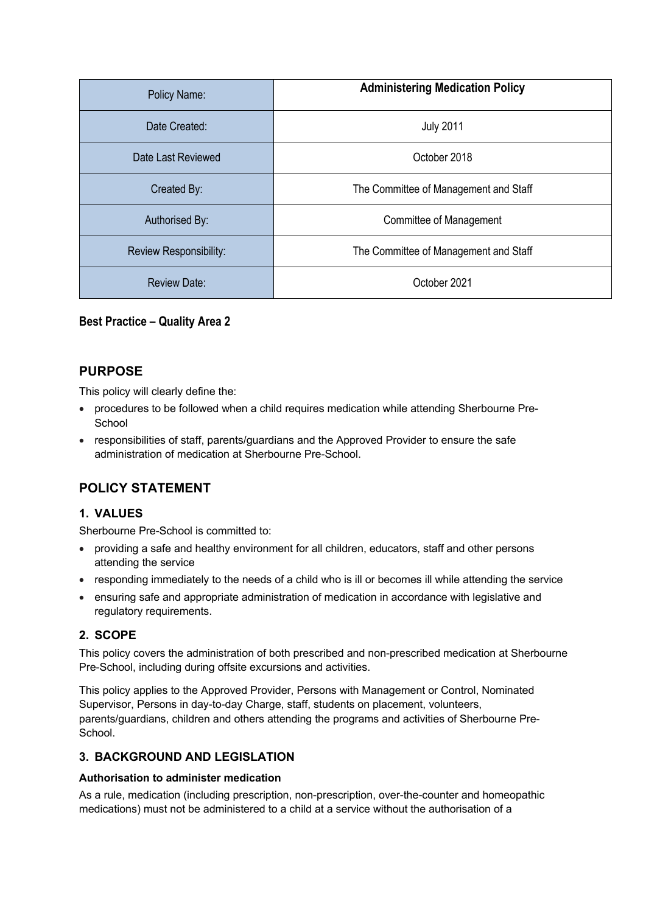| Policy Name:           | <b>Administering Medication Policy</b> |
|------------------------|----------------------------------------|
| Date Created:          | <b>July 2011</b>                       |
| Date Last Reviewed     | October 2018                           |
| Created By:            | The Committee of Management and Staff  |
| Authorised By:         | Committee of Management                |
| Review Responsibility: | The Committee of Management and Staff  |
| <b>Review Date:</b>    | October 2021                           |

**Best Practice – Quality Area 2**

## **PURPOSE**

This policy will clearly define the:

- procedures to be followed when a child requires medication while attending Sherbourne Pre-**School**
- responsibilities of staff, parents/guardians and the Approved Provider to ensure the safe administration of medication at Sherbourne Pre-School.

# **POLICY STATEMENT**

## **1. VALUES**

Sherbourne Pre-School is committed to:

- providing a safe and healthy environment for all children, educators, staff and other persons attending the service
- responding immediately to the needs of a child who is ill or becomes ill while attending the service
- ensuring safe and appropriate administration of medication in accordance with legislative and regulatory requirements.

## **2. SCOPE**

This policy covers the administration of both prescribed and non-prescribed medication at Sherbourne Pre-School, including during offsite excursions and activities.

This policy applies to the Approved Provider, Persons with Management or Control, Nominated Supervisor, Persons in day-to-day Charge, staff, students on placement, volunteers, parents/guardians, children and others attending the programs and activities of Sherbourne Pre-School.

## **3. BACKGROUND AND LEGISLATION**

### **Authorisation to administer medication**

As a rule, medication (including prescription, non-prescription, over-the-counter and homeopathic medications) must not be administered to a child at a service without the authorisation of a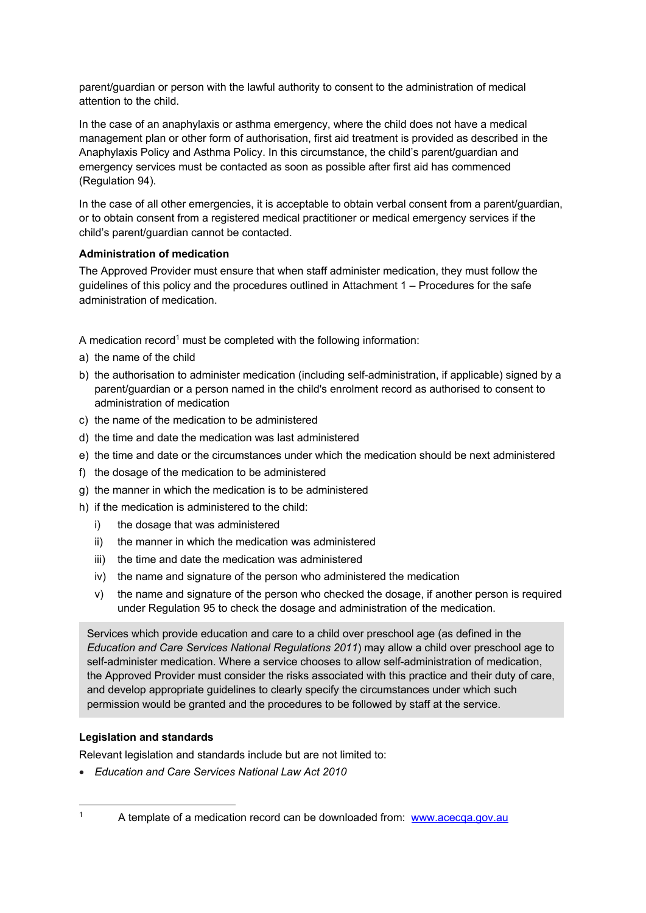parent/guardian or person with the lawful authority to consent to the administration of medical attention to the child.

In the case of an anaphylaxis or asthma emergency, where the child does not have a medical management plan or other form of authorisation, first aid treatment is provided as described in the Anaphylaxis Policy and Asthma Policy. In this circumstance, the child's parent/guardian and emergency services must be contacted as soon as possible after first aid has commenced (Regulation 94).

In the case of all other emergencies, it is acceptable to obtain verbal consent from a parent/guardian, or to obtain consent from a registered medical practitioner or medical emergency services if the child's parent/guardian cannot be contacted.

#### **Administration of medication**

The Approved Provider must ensure that when staff administer medication, they must follow the guidelines of this policy and the procedures outlined in Attachment 1 – Procedures for the safe administration of medication.

A medication record<sup>1</sup> must be completed with the following information:

- a) the name of the child
- b) the authorisation to administer medication (including self-administration, if applicable) signed by a parent/guardian or a person named in the child's enrolment record as authorised to consent to administration of medication
- c) the name of the medication to be administered
- d) the time and date the medication was last administered
- e) the time and date or the circumstances under which the medication should be next administered
- f) the dosage of the medication to be administered
- g) the manner in which the medication is to be administered
- h) if the medication is administered to the child:
	- i) the dosage that was administered
	- ii) the manner in which the medication was administered
	- iii) the time and date the medication was administered
	- iv) the name and signature of the person who administered the medication
	- v) the name and signature of the person who checked the dosage, if another person is required under Regulation 95 to check the dosage and administration of the medication.

Services which provide education and care to a child over preschool age (as defined in the *Education and Care Services National Regulations 2011*) may allow a child over preschool age to self-administer medication. Where a service chooses to allow self-administration of medication, the Approved Provider must consider the risks associated with this practice and their duty of care, and develop appropriate guidelines to clearly specify the circumstances under which such permission would be granted and the procedures to be followed by staff at the service.

#### **Legislation and standards**

l

Relevant legislation and standards include but are not limited to:

• *Education and Care Services National Law Act 2010*

<sup>&</sup>lt;sup>1</sup> A template of a medication record can be downloaded from: www.acecqa.gov.au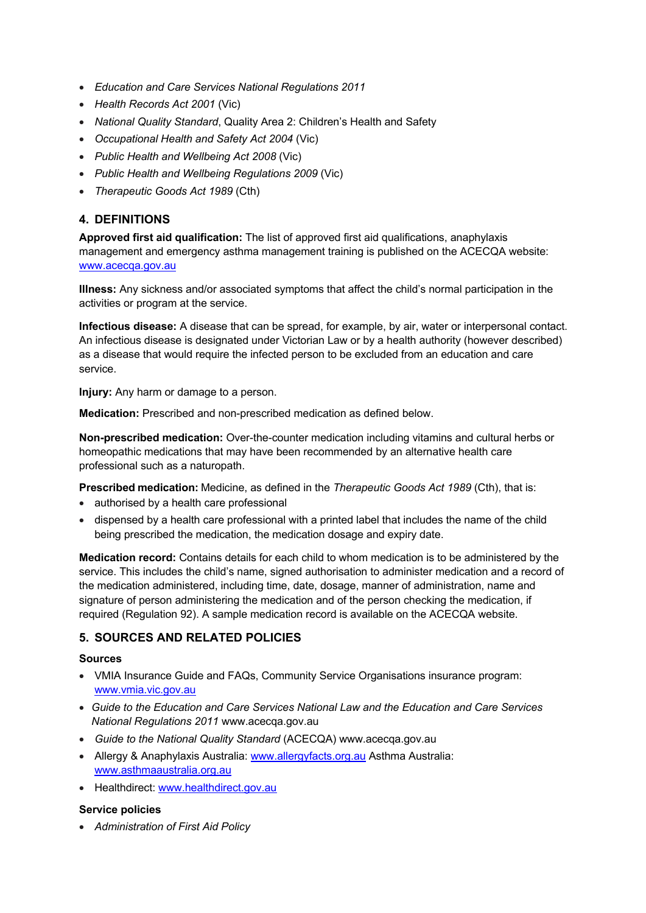- *Education and Care Services National Regulations 2011*
- *Health Records Act 2001* (Vic)
- *National Quality Standard*, Quality Area 2: Children's Health and Safety
- *Occupational Health and Safety Act 2004* (Vic)
- *Public Health and Wellbeing Act 2008* (Vic)
- *Public Health and Wellbeing Regulations 2009* (Vic)
- *Therapeutic Goods Act 1989* (Cth)

## **4. DEFINITIONS**

**Approved first aid qualification:** The list of approved first aid qualifications, anaphylaxis management and emergency asthma management training is published on the ACECQA website: www.acecqa.gov.au

**Illness:** Any sickness and/or associated symptoms that affect the child's normal participation in the activities or program at the service.

**Infectious disease:** A disease that can be spread, for example, by air, water or interpersonal contact. An infectious disease is designated under Victorian Law or by a health authority (however described) as a disease that would require the infected person to be excluded from an education and care service.

**Injury:** Any harm or damage to a person.

**Medication:** Prescribed and non-prescribed medication as defined below.

**Non-prescribed medication:** Over-the-counter medication including vitamins and cultural herbs or homeopathic medications that may have been recommended by an alternative health care professional such as a naturopath.

**Prescribed medication:** Medicine, as defined in the *Therapeutic Goods Act 1989* (Cth), that is:

- authorised by a health care professional
- dispensed by a health care professional with a printed label that includes the name of the child being prescribed the medication, the medication dosage and expiry date.

**Medication record:** Contains details for each child to whom medication is to be administered by the service. This includes the child's name, signed authorisation to administer medication and a record of the medication administered, including time, date, dosage, manner of administration, name and signature of person administering the medication and of the person checking the medication, if required (Regulation 92). A sample medication record is available on the ACECQA website.

### **5. SOURCES AND RELATED POLICIES**

#### **Sources**

- VMIA Insurance Guide and FAQs, Community Service Organisations insurance program: www.vmia.vic.gov.au
- *Guide to the Education and Care Services National Law and the Education and Care Services National Regulations 2011* www.acecqa.gov.au
- *Guide to the National Quality Standard* (ACECQA) www.acecqa.gov.au
- Allergy & Anaphylaxis Australia: www.allergyfacts.org.au Asthma Australia: www.asthmaaustralia.org.au
- Healthdirect: www.healthdirect.gov.au

#### **Service policies**

• *Administration of First Aid Policy*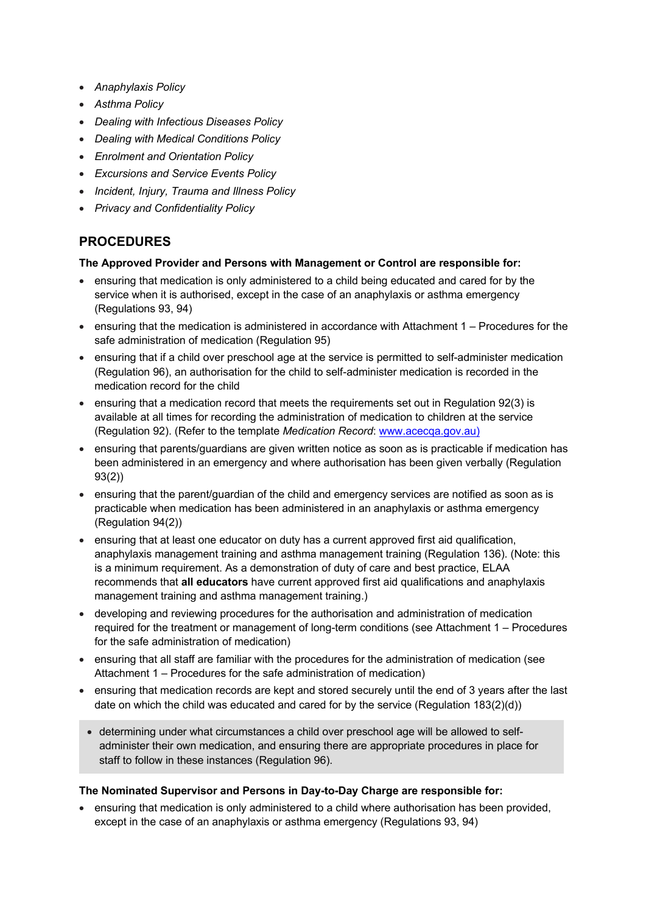- *Anaphylaxis Policy*
- *Asthma Policy*
- *Dealing with Infectious Diseases Policy*
- *Dealing with Medical Conditions Policy*
- *Enrolment and Orientation Policy*
- *Excursions and Service Events Policy*
- *Incident, Injury, Trauma and Illness Policy*
- *Privacy and Confidentiality Policy*

# **PROCEDURES**

#### **The Approved Provider and Persons with Management or Control are responsible for:**

- ensuring that medication is only administered to a child being educated and cared for by the service when it is authorised, except in the case of an anaphylaxis or asthma emergency (Regulations 93, 94)
- ensuring that the medication is administered in accordance with Attachment 1 Procedures for the safe administration of medication (Regulation 95)
- ensuring that if a child over preschool age at the service is permitted to self-administer medication (Regulation 96), an authorisation for the child to self-administer medication is recorded in the medication record for the child
- ensuring that a medication record that meets the requirements set out in Regulation 92(3) is available at all times for recording the administration of medication to children at the service (Regulation 92). (Refer to the template *Medication Record*: www.acecqa.gov.au)
- ensuring that parents/guardians are given written notice as soon as is practicable if medication has been administered in an emergency and where authorisation has been given verbally (Regulation 93(2))
- ensuring that the parent/guardian of the child and emergency services are notified as soon as is practicable when medication has been administered in an anaphylaxis or asthma emergency (Regulation 94(2))
- ensuring that at least one educator on duty has a current approved first aid qualification, anaphylaxis management training and asthma management training (Regulation 136). (Note: this is a minimum requirement. As a demonstration of duty of care and best practice, ELAA recommends that **all educators** have current approved first aid qualifications and anaphylaxis management training and asthma management training.)
- developing and reviewing procedures for the authorisation and administration of medication required for the treatment or management of long-term conditions (see Attachment 1 – Procedures for the safe administration of medication)
- ensuring that all staff are familiar with the procedures for the administration of medication (see Attachment 1 – Procedures for the safe administration of medication)
- ensuring that medication records are kept and stored securely until the end of 3 years after the last date on which the child was educated and cared for by the service (Regulation 183(2)(d))
- determining under what circumstances a child over preschool age will be allowed to selfadminister their own medication, and ensuring there are appropriate procedures in place for staff to follow in these instances (Regulation 96).

#### **The Nominated Supervisor and Persons in Day-to-Day Charge are responsible for:**

• ensuring that medication is only administered to a child where authorisation has been provided, except in the case of an anaphylaxis or asthma emergency (Regulations 93, 94)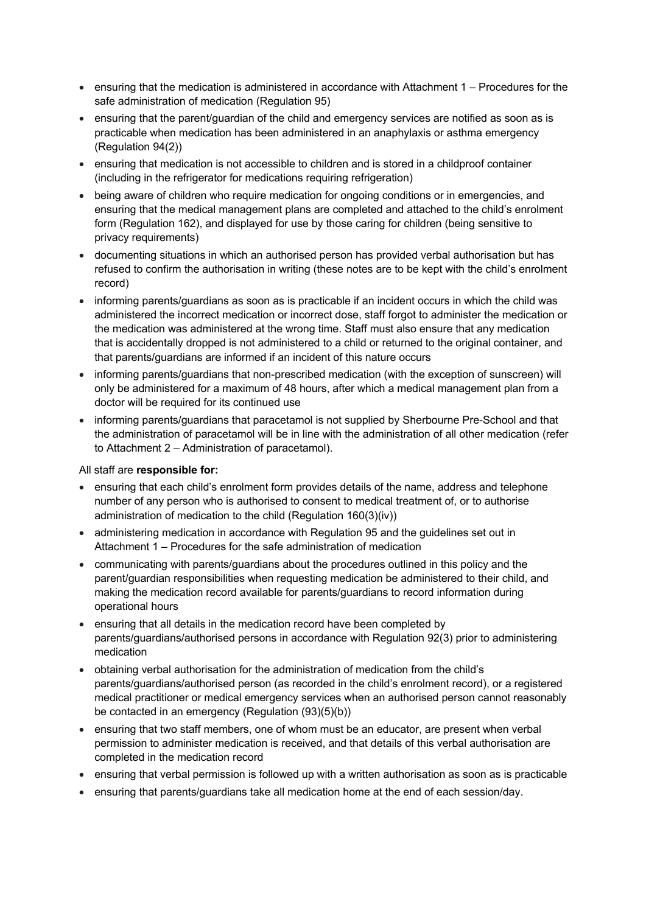- ensuring that the medication is administered in accordance with Attachment 1 Procedures for the safe administration of medication (Regulation 95)
- ensuring that the parent/guardian of the child and emergency services are notified as soon as is practicable when medication has been administered in an anaphylaxis or asthma emergency (Regulation 94(2))
- ensuring that medication is not accessible to children and is stored in a childproof container (including in the refrigerator for medications requiring refrigeration)
- being aware of children who require medication for ongoing conditions or in emergencies, and ensuring that the medical management plans are completed and attached to the child's enrolment form (Regulation 162), and displayed for use by those caring for children (being sensitive to privacy requirements)
- documenting situations in which an authorised person has provided verbal authorisation but has refused to confirm the authorisation in writing (these notes are to be kept with the child's enrolment record)
- informing parents/guardians as soon as is practicable if an incident occurs in which the child was administered the incorrect medication or incorrect dose, staff forgot to administer the medication or the medication was administered at the wrong time. Staff must also ensure that any medication that is accidentally dropped is not administered to a child or returned to the original container, and that parents/guardians are informed if an incident of this nature occurs
- informing parents/guardians that non-prescribed medication (with the exception of sunscreen) will only be administered for a maximum of 48 hours, after which a medical management plan from a doctor will be required for its continued use
- informing parents/guardians that paracetamol is not supplied by Sherbourne Pre-School and that the administration of paracetamol will be in line with the administration of all other medication (refer to Attachment 2 – Administration of paracetamol).

#### All staff are **responsible for:**

- ensuring that each child's enrolment form provides details of the name, address and telephone number of any person who is authorised to consent to medical treatment of, or to authorise administration of medication to the child (Regulation 160(3)(iv))
- administering medication in accordance with Regulation 95 and the guidelines set out in Attachment 1 – Procedures for the safe administration of medication
- communicating with parents/guardians about the procedures outlined in this policy and the parent/guardian responsibilities when requesting medication be administered to their child, and making the medication record available for parents/guardians to record information during operational hours
- ensuring that all details in the medication record have been completed by parents/guardians/authorised persons in accordance with Regulation 92(3) prior to administering medication
- obtaining verbal authorisation for the administration of medication from the child's parents/guardians/authorised person (as recorded in the child's enrolment record), or a registered medical practitioner or medical emergency services when an authorised person cannot reasonably be contacted in an emergency (Regulation (93)(5)(b))
- ensuring that two staff members, one of whom must be an educator, are present when verbal permission to administer medication is received, and that details of this verbal authorisation are completed in the medication record
- ensuring that verbal permission is followed up with a written authorisation as soon as is practicable
- ensuring that parents/guardians take all medication home at the end of each session/day.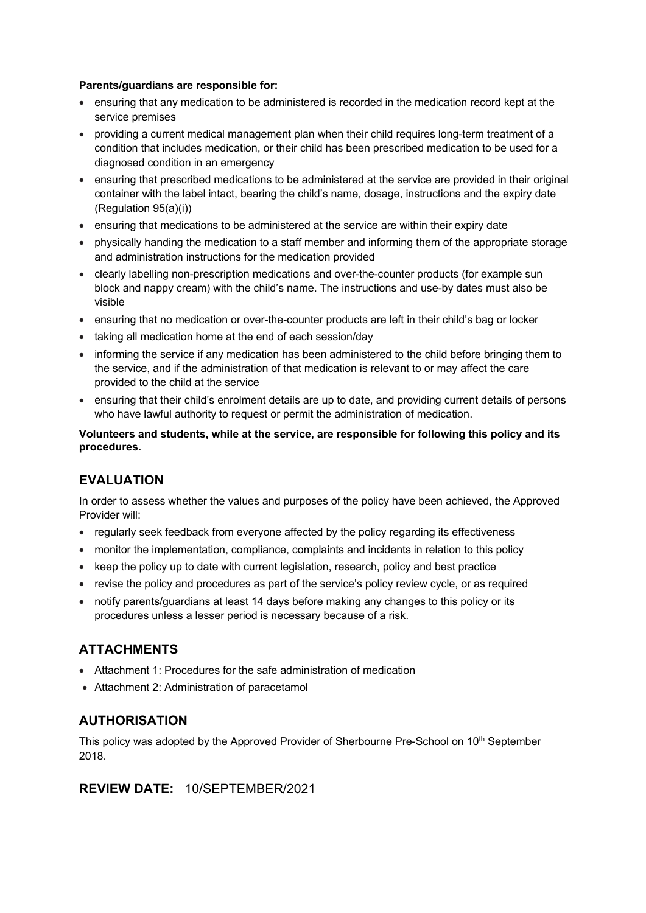#### **Parents/guardians are responsible for:**

- ensuring that any medication to be administered is recorded in the medication record kept at the service premises
- providing a current medical management plan when their child requires long-term treatment of a condition that includes medication, or their child has been prescribed medication to be used for a diagnosed condition in an emergency
- ensuring that prescribed medications to be administered at the service are provided in their original container with the label intact, bearing the child's name, dosage, instructions and the expiry date (Regulation 95(a)(i))
- ensuring that medications to be administered at the service are within their expiry date
- physically handing the medication to a staff member and informing them of the appropriate storage and administration instructions for the medication provided
- clearly labelling non-prescription medications and over-the-counter products (for example sun block and nappy cream) with the child's name. The instructions and use-by dates must also be visible
- ensuring that no medication or over-the-counter products are left in their child's bag or locker
- taking all medication home at the end of each session/day
- informing the service if any medication has been administered to the child before bringing them to the service, and if the administration of that medication is relevant to or may affect the care provided to the child at the service
- ensuring that their child's enrolment details are up to date, and providing current details of persons who have lawful authority to request or permit the administration of medication.

**Volunteers and students, while at the service, are responsible for following this policy and its procedures.**

# **EVALUATION**

In order to assess whether the values and purposes of the policy have been achieved, the Approved Provider will:

- regularly seek feedback from everyone affected by the policy regarding its effectiveness
- monitor the implementation, compliance, complaints and incidents in relation to this policy
- keep the policy up to date with current legislation, research, policy and best practice
- revise the policy and procedures as part of the service's policy review cycle, or as required
- notify parents/guardians at least 14 days before making any changes to this policy or its procedures unless a lesser period is necessary because of a risk.

## **ATTACHMENTS**

- Attachment 1: Procedures for the safe administration of medication
- Attachment 2: Administration of paracetamol

## **AUTHORISATION**

This policy was adopted by the Approved Provider of Sherbourne Pre-School on 10<sup>th</sup> September 2018.

## **REVIEW DATE:** 10/SEPTEMBER/2021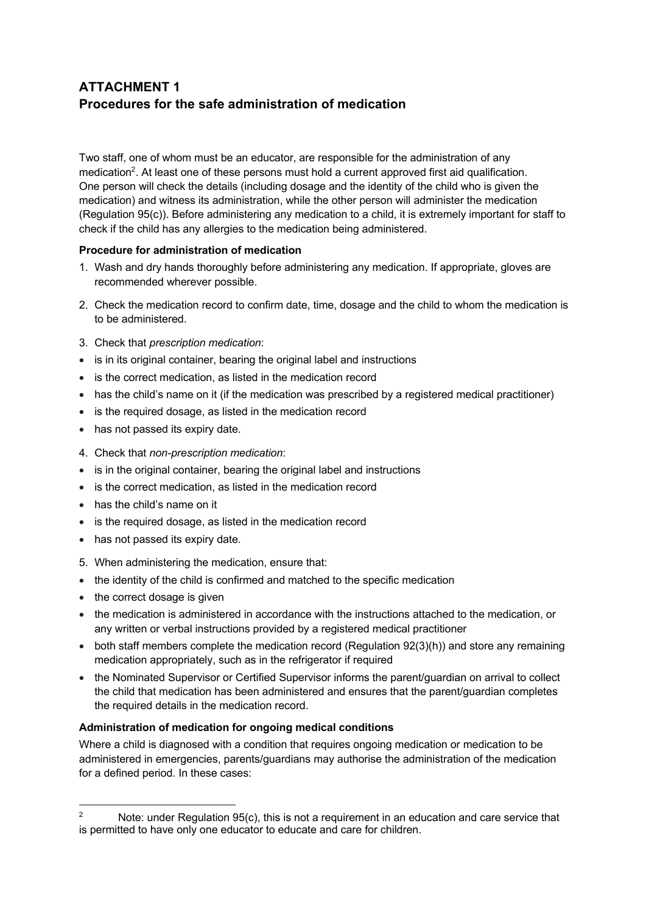# **ATTACHMENT 1 Procedures for the safe administration of medication**

Two staff, one of whom must be an educator, are responsible for the administration of any medication<sup>2</sup>. At least one of these persons must hold a current approved first aid qualification. One person will check the details (including dosage and the identity of the child who is given the medication) and witness its administration, while the other person will administer the medication (Regulation 95(c)). Before administering any medication to a child, it is extremely important for staff to check if the child has any allergies to the medication being administered.

#### **Procedure for administration of medication**

- 1. Wash and dry hands thoroughly before administering any medication. If appropriate, gloves are recommended wherever possible.
- 2. Check the medication record to confirm date, time, dosage and the child to whom the medication is to be administered.
- 3. Check that *prescription medication*:
- is in its original container, bearing the original label and instructions
- is the correct medication, as listed in the medication record
- has the child's name on it (if the medication was prescribed by a registered medical practitioner)
- is the required dosage, as listed in the medication record
- has not passed its expiry date.
- 4. Check that *non-prescription medication*:
- is in the original container, bearing the original label and instructions
- is the correct medication, as listed in the medication record
- has the child's name on it
- is the required dosage, as listed in the medication record
- has not passed its expiry date.
- 5. When administering the medication, ensure that:
- the identity of the child is confirmed and matched to the specific medication
- the correct dosage is given
- the medication is administered in accordance with the instructions attached to the medication, or any written or verbal instructions provided by a registered medical practitioner
- both staff members complete the medication record (Regulation 92(3)(h)) and store any remaining medication appropriately, such as in the refrigerator if required
- the Nominated Supervisor or Certified Supervisor informs the parent/guardian on arrival to collect the child that medication has been administered and ensures that the parent/guardian completes the required details in the medication record.

#### **Administration of medication for ongoing medical conditions**

Where a child is diagnosed with a condition that requires ongoing medication or medication to be administered in emergencies, parents/guardians may authorise the administration of the medication for a defined period. In these cases:

l <sup>2</sup> Note: under Regulation  $95(c)$ , this is not a requirement in an education and care service that is permitted to have only one educator to educate and care for children.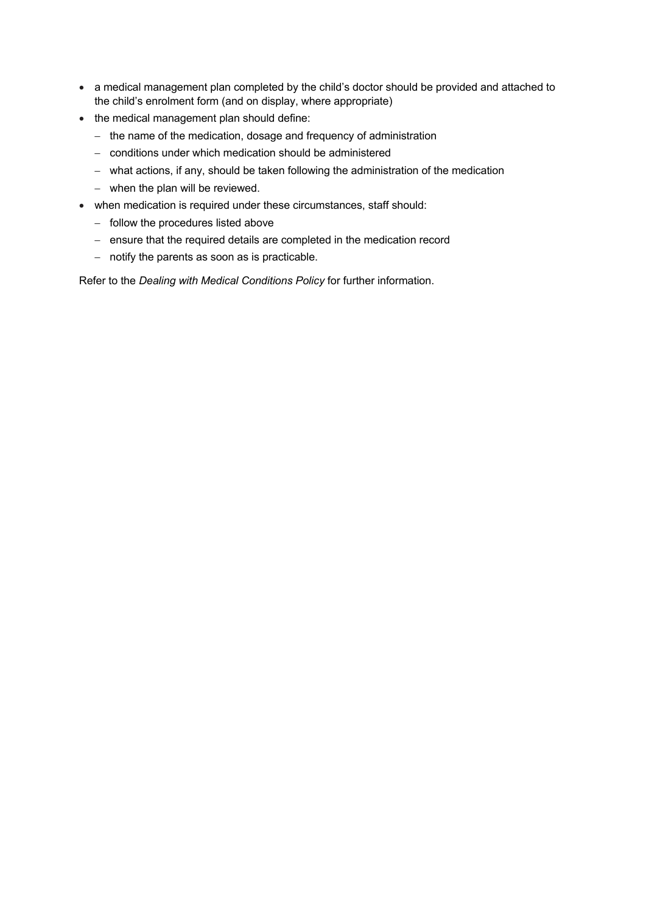- a medical management plan completed by the child's doctor should be provided and attached to the child's enrolment form (and on display, where appropriate)
- the medical management plan should define:
	- the name of the medication, dosage and frequency of administration
	- conditions under which medication should be administered
	- what actions, if any, should be taken following the administration of the medication
	- when the plan will be reviewed.
- when medication is required under these circumstances, staff should:
	- follow the procedures listed above
	- ensure that the required details are completed in the medication record
	- notify the parents as soon as is practicable.

Refer to the *Dealing with Medical Conditions Policy* for further information.